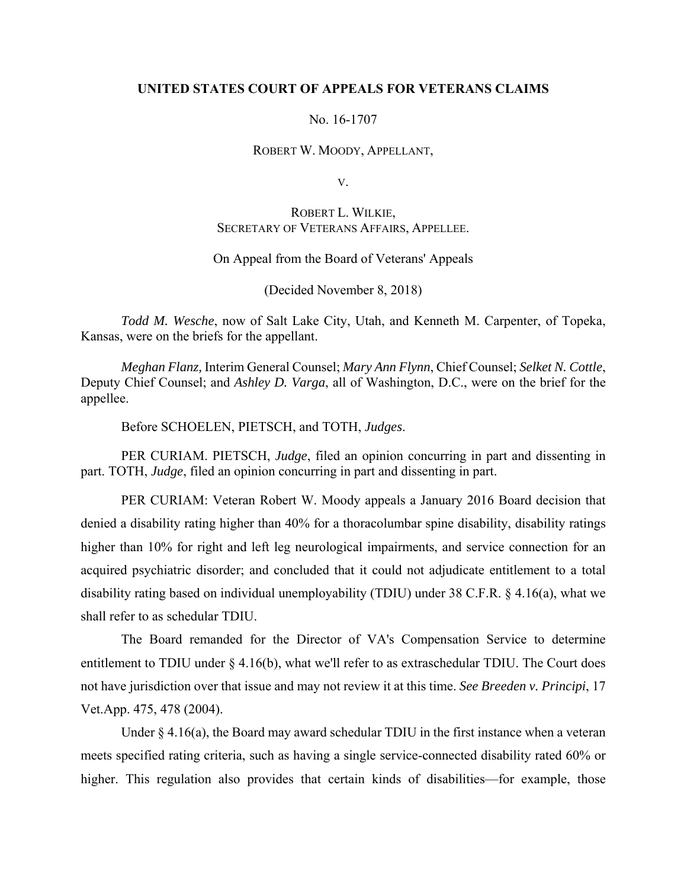# **UNITED STATES COURT OF APPEALS FOR VETERANS CLAIMS**

### No. 16-1707

#### ROBERT W. MOODY, APPELLANT,

V.

# ROBERT L. WILKIE, SECRETARY OF VETERANS AFFAIRS, APPELLEE.

# On Appeal from the Board of Veterans' Appeals

(Decided November 8, 2018)

*Todd M. Wesche*, now of Salt Lake City, Utah, and Kenneth M. Carpenter, of Topeka, Kansas, were on the briefs for the appellant.

*Meghan Flanz,* Interim General Counsel; *Mary Ann Flynn*, Chief Counsel; *Selket N. Cottle*, Deputy Chief Counsel; and *Ashley D. Varga*, all of Washington, D.C., were on the brief for the appellee.

Before SCHOELEN, PIETSCH, and TOTH, *Judges*.

 PER CURIAM. PIETSCH, *Judge*, filed an opinion concurring in part and dissenting in part. TOTH, *Judge*, filed an opinion concurring in part and dissenting in part.

PER CURIAM: Veteran Robert W. Moody appeals a January 2016 Board decision that denied a disability rating higher than 40% for a thoracolumbar spine disability, disability ratings higher than 10% for right and left leg neurological impairments, and service connection for an acquired psychiatric disorder; and concluded that it could not adjudicate entitlement to a total disability rating based on individual unemployability (TDIU) under 38 C.F.R. § 4.16(a), what we shall refer to as schedular TDIU.

The Board remanded for the Director of VA's Compensation Service to determine entitlement to TDIU under § 4.16(b), what we'll refer to as extraschedular TDIU. The Court does not have jurisdiction over that issue and may not review it at this time. *See Breeden v. Principi*, 17 Vet.App. 475, 478 (2004).

Under  $\S$  4.16(a), the Board may award schedular TDIU in the first instance when a veteran meets specified rating criteria, such as having a single service-connected disability rated 60% or higher. This regulation also provides that certain kinds of disabilities—for example, those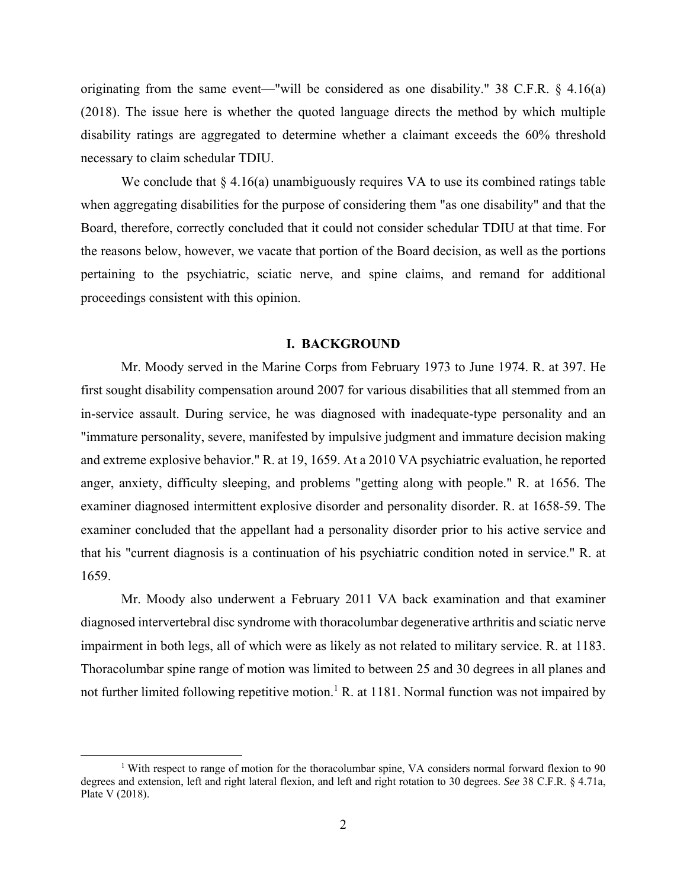originating from the same event—"will be considered as one disability." 38 C.F.R. § 4.16(a) (2018). The issue here is whether the quoted language directs the method by which multiple disability ratings are aggregated to determine whether a claimant exceeds the 60% threshold necessary to claim schedular TDIU.

We conclude that  $\S 4.16(a)$  unambiguously requires VA to use its combined ratings table when aggregating disabilities for the purpose of considering them "as one disability" and that the Board, therefore, correctly concluded that it could not consider schedular TDIU at that time. For the reasons below, however, we vacate that portion of the Board decision, as well as the portions pertaining to the psychiatric, sciatic nerve, and spine claims, and remand for additional proceedings consistent with this opinion.

#### **I. BACKGROUND**

Mr. Moody served in the Marine Corps from February 1973 to June 1974. R. at 397. He first sought disability compensation around 2007 for various disabilities that all stemmed from an in-service assault. During service, he was diagnosed with inadequate-type personality and an "immature personality, severe, manifested by impulsive judgment and immature decision making and extreme explosive behavior." R. at 19, 1659. At a 2010 VA psychiatric evaluation, he reported anger, anxiety, difficulty sleeping, and problems "getting along with people." R. at 1656. The examiner diagnosed intermittent explosive disorder and personality disorder. R. at 1658-59. The examiner concluded that the appellant had a personality disorder prior to his active service and that his "current diagnosis is a continuation of his psychiatric condition noted in service." R. at 1659.

Mr. Moody also underwent a February 2011 VA back examination and that examiner diagnosed intervertebral disc syndrome with thoracolumbar degenerative arthritis and sciatic nerve impairment in both legs, all of which were as likely as not related to military service. R. at 1183. Thoracolumbar spine range of motion was limited to between 25 and 30 degrees in all planes and not further limited following repetitive motion.<sup>1</sup> R. at 1181. Normal function was not impaired by

 $\begin{array}{c|c}\n\hline\n\text{1}\n\end{array}$  With respect to range of motion for the thoracolumbar spine, VA considers normal forward flexion to 90 degrees and extension, left and right lateral flexion, and left and right rotation to 30 degrees. *See* 38 C.F.R. § 4.71a, Plate V (2018).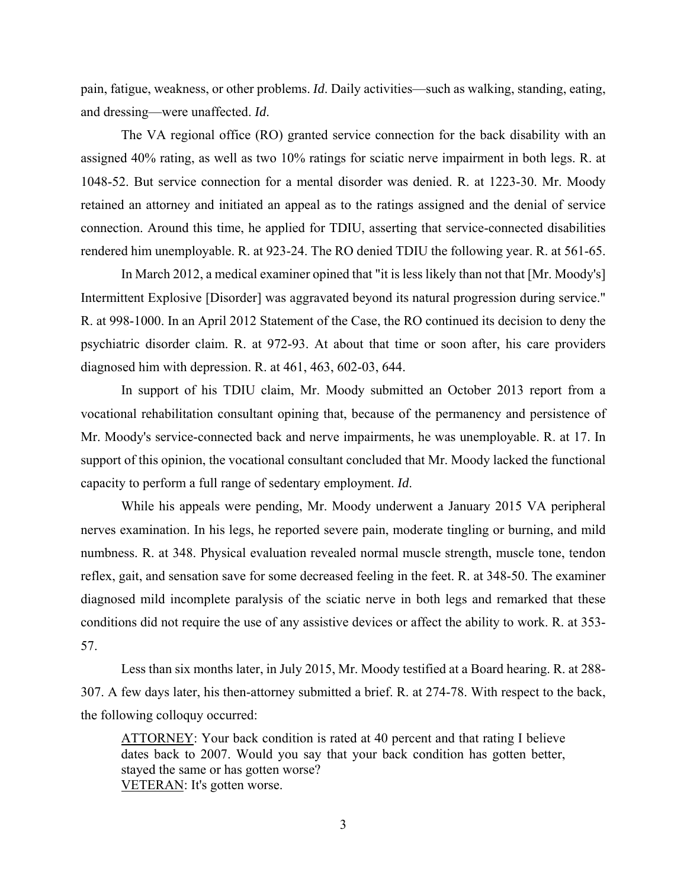pain, fatigue, weakness, or other problems. *Id*. Daily activities—such as walking, standing, eating, and dressing—were unaffected. *Id*.

The VA regional office (RO) granted service connection for the back disability with an assigned 40% rating, as well as two 10% ratings for sciatic nerve impairment in both legs. R. at 1048-52. But service connection for a mental disorder was denied. R. at 1223-30. Mr. Moody retained an attorney and initiated an appeal as to the ratings assigned and the denial of service connection. Around this time, he applied for TDIU, asserting that service-connected disabilities rendered him unemployable. R. at 923-24. The RO denied TDIU the following year. R. at 561-65.

In March 2012, a medical examiner opined that "it is less likely than not that [Mr. Moody's] Intermittent Explosive [Disorder] was aggravated beyond its natural progression during service." R. at 998-1000. In an April 2012 Statement of the Case, the RO continued its decision to deny the psychiatric disorder claim. R. at 972-93. At about that time or soon after, his care providers diagnosed him with depression. R. at 461, 463, 602-03, 644.

In support of his TDIU claim, Mr. Moody submitted an October 2013 report from a vocational rehabilitation consultant opining that, because of the permanency and persistence of Mr. Moody's service-connected back and nerve impairments, he was unemployable. R. at 17. In support of this opinion, the vocational consultant concluded that Mr. Moody lacked the functional capacity to perform a full range of sedentary employment. *Id*.

While his appeals were pending, Mr. Moody underwent a January 2015 VA peripheral nerves examination. In his legs, he reported severe pain, moderate tingling or burning, and mild numbness. R. at 348. Physical evaluation revealed normal muscle strength, muscle tone, tendon reflex, gait, and sensation save for some decreased feeling in the feet. R. at 348-50. The examiner diagnosed mild incomplete paralysis of the sciatic nerve in both legs and remarked that these conditions did not require the use of any assistive devices or affect the ability to work. R. at 353- 57.

Less than six months later, in July 2015, Mr. Moody testified at a Board hearing. R. at 288- 307. A few days later, his then-attorney submitted a brief. R. at 274-78. With respect to the back, the following colloquy occurred:

ATTORNEY: Your back condition is rated at 40 percent and that rating I believe dates back to 2007. Would you say that your back condition has gotten better, stayed the same or has gotten worse? VETERAN: It's gotten worse.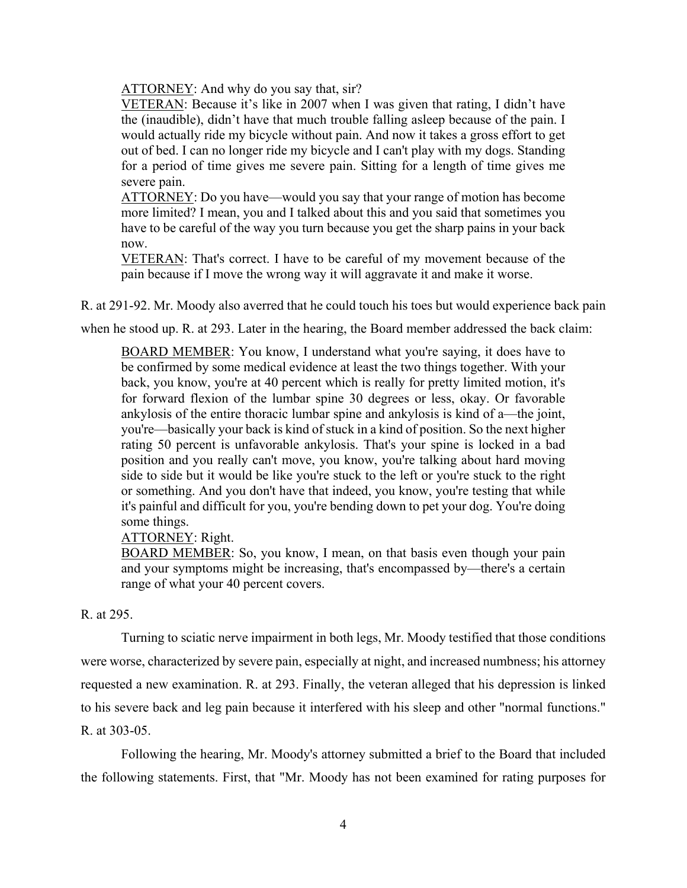ATTORNEY: And why do you say that, sir?

VETERAN: Because it's like in 2007 when I was given that rating, I didn't have the (inaudible), didn't have that much trouble falling asleep because of the pain. I would actually ride my bicycle without pain. And now it takes a gross effort to get out of bed. I can no longer ride my bicycle and I can't play with my dogs. Standing for a period of time gives me severe pain. Sitting for a length of time gives me severe pain.

ATTORNEY: Do you have—would you say that your range of motion has become more limited? I mean, you and I talked about this and you said that sometimes you have to be careful of the way you turn because you get the sharp pains in your back now.

VETERAN: That's correct. I have to be careful of my movement because of the pain because if I move the wrong way it will aggravate it and make it worse.

R. at 291-92. Mr. Moody also averred that he could touch his toes but would experience back pain

when he stood up. R. at 293. Later in the hearing, the Board member addressed the back claim:

BOARD MEMBER: You know, I understand what you're saying, it does have to be confirmed by some medical evidence at least the two things together. With your back, you know, you're at 40 percent which is really for pretty limited motion, it's for forward flexion of the lumbar spine 30 degrees or less, okay. Or favorable ankylosis of the entire thoracic lumbar spine and ankylosis is kind of a—the joint, you're—basically your back is kind of stuck in a kind of position. So the next higher rating 50 percent is unfavorable ankylosis. That's your spine is locked in a bad position and you really can't move, you know, you're talking about hard moving side to side but it would be like you're stuck to the left or you're stuck to the right or something. And you don't have that indeed, you know, you're testing that while it's painful and difficult for you, you're bending down to pet your dog. You're doing some things.

ATTORNEY: Right.

BOARD MEMBER: So, you know, I mean, on that basis even though your pain and your symptoms might be increasing, that's encompassed by—there's a certain range of what your 40 percent covers.

# R. at 295.

Turning to sciatic nerve impairment in both legs, Mr. Moody testified that those conditions were worse, characterized by severe pain, especially at night, and increased numbness; his attorney requested a new examination. R. at 293. Finally, the veteran alleged that his depression is linked to his severe back and leg pain because it interfered with his sleep and other "normal functions." R. at 303-05.

Following the hearing, Mr. Moody's attorney submitted a brief to the Board that included the following statements. First, that "Mr. Moody has not been examined for rating purposes for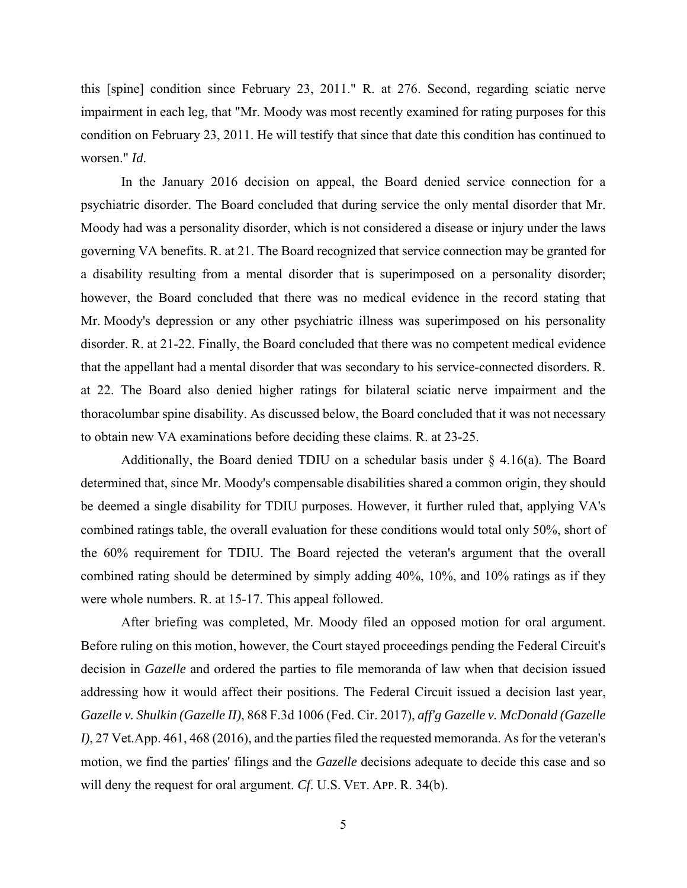this [spine] condition since February 23, 2011." R. at 276. Second, regarding sciatic nerve impairment in each leg, that "Mr. Moody was most recently examined for rating purposes for this condition on February 23, 2011. He will testify that since that date this condition has continued to worsen." *Id*.

In the January 2016 decision on appeal, the Board denied service connection for a psychiatric disorder. The Board concluded that during service the only mental disorder that Mr. Moody had was a personality disorder, which is not considered a disease or injury under the laws governing VA benefits. R. at 21. The Board recognized that service connection may be granted for a disability resulting from a mental disorder that is superimposed on a personality disorder; however, the Board concluded that there was no medical evidence in the record stating that Mr. Moody's depression or any other psychiatric illness was superimposed on his personality disorder. R. at 21-22. Finally, the Board concluded that there was no competent medical evidence that the appellant had a mental disorder that was secondary to his service-connected disorders. R. at 22. The Board also denied higher ratings for bilateral sciatic nerve impairment and the thoracolumbar spine disability. As discussed below, the Board concluded that it was not necessary to obtain new VA examinations before deciding these claims. R. at 23-25.

Additionally, the Board denied TDIU on a schedular basis under  $\S$  4.16(a). The Board determined that, since Mr. Moody's compensable disabilities shared a common origin, they should be deemed a single disability for TDIU purposes. However, it further ruled that, applying VA's combined ratings table, the overall evaluation for these conditions would total only 50%, short of the 60% requirement for TDIU. The Board rejected the veteran's argument that the overall combined rating should be determined by simply adding 40%, 10%, and 10% ratings as if they were whole numbers. R. at 15-17. This appeal followed.

After briefing was completed, Mr. Moody filed an opposed motion for oral argument. Before ruling on this motion, however, the Court stayed proceedings pending the Federal Circuit's decision in *Gazelle* and ordered the parties to file memoranda of law when that decision issued addressing how it would affect their positions. The Federal Circuit issued a decision last year, *Gazelle v. Shulkin (Gazelle II)*, 868 F.3d 1006 (Fed. Cir. 2017), *aff'g Gazelle v. McDonald (Gazelle I)*, 27 Vet.App. 461, 468 (2016), and the parties filed the requested memoranda. As for the veteran's motion, we find the parties' filings and the *Gazelle* decisions adequate to decide this case and so will deny the request for oral argument. *Cf*. U.S. VET. APP. R. 34(b).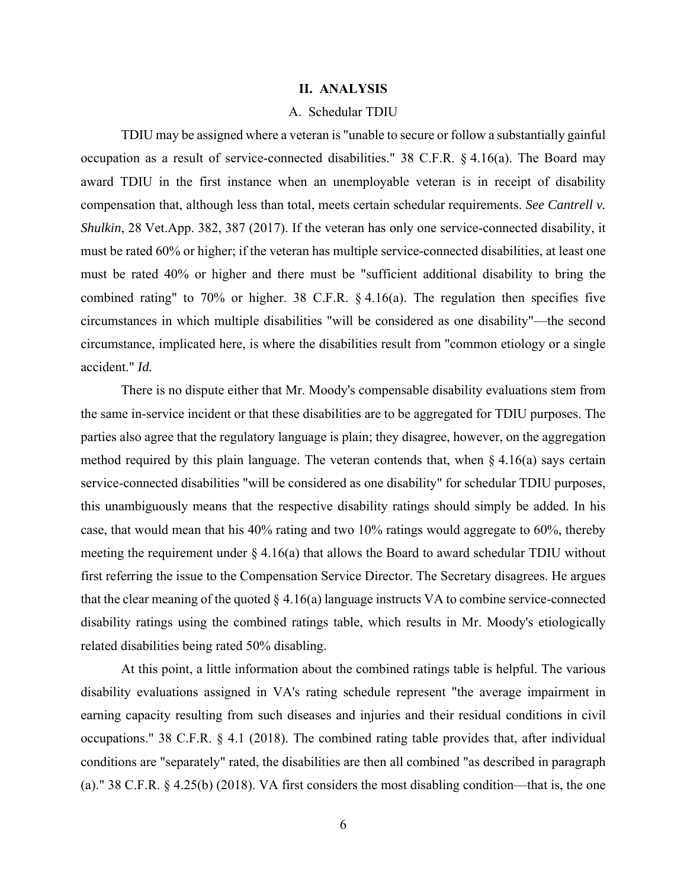### **II. ANALYSIS**

# A. Schedular TDIU

 TDIU may be assigned where a veteran is "unable to secure or follow a substantially gainful occupation as a result of service-connected disabilities." 38 C.F.R. § 4.16(a). The Board may award TDIU in the first instance when an unemployable veteran is in receipt of disability compensation that, although less than total, meets certain schedular requirements. *See Cantrell v. Shulkin*, 28 Vet.App. 382, 387 (2017). If the veteran has only one service-connected disability, it must be rated 60% or higher; if the veteran has multiple service-connected disabilities, at least one must be rated 40% or higher and there must be "sufficient additional disability to bring the combined rating" to 70% or higher. 38 C.F.R. § 4.16(a). The regulation then specifies five circumstances in which multiple disabilities "will be considered as one disability"—the second circumstance, implicated here, is where the disabilities result from "common etiology or a single accident." *Id.*

There is no dispute either that Mr. Moody's compensable disability evaluations stem from the same in-service incident or that these disabilities are to be aggregated for TDIU purposes. The parties also agree that the regulatory language is plain; they disagree, however, on the aggregation method required by this plain language. The veteran contends that, when  $\S 4.16(a)$  says certain service-connected disabilities "will be considered as one disability" for schedular TDIU purposes, this unambiguously means that the respective disability ratings should simply be added. In his case, that would mean that his 40% rating and two 10% ratings would aggregate to 60%, thereby meeting the requirement under  $\S 4.16(a)$  that allows the Board to award schedular TDIU without first referring the issue to the Compensation Service Director. The Secretary disagrees. He argues that the clear meaning of the quoted  $\S 4.16(a)$  language instructs VA to combine service-connected disability ratings using the combined ratings table, which results in Mr. Moody's etiologically related disabilities being rated 50% disabling.

At this point, a little information about the combined ratings table is helpful. The various disability evaluations assigned in VA's rating schedule represent "the average impairment in earning capacity resulting from such diseases and injuries and their residual conditions in civil occupations." 38 C.F.R. § 4.1 (2018). The combined rating table provides that, after individual conditions are "separately" rated, the disabilities are then all combined "as described in paragraph (a)." 38 C.F.R. § 4.25(b) (2018). VA first considers the most disabling condition—that is, the one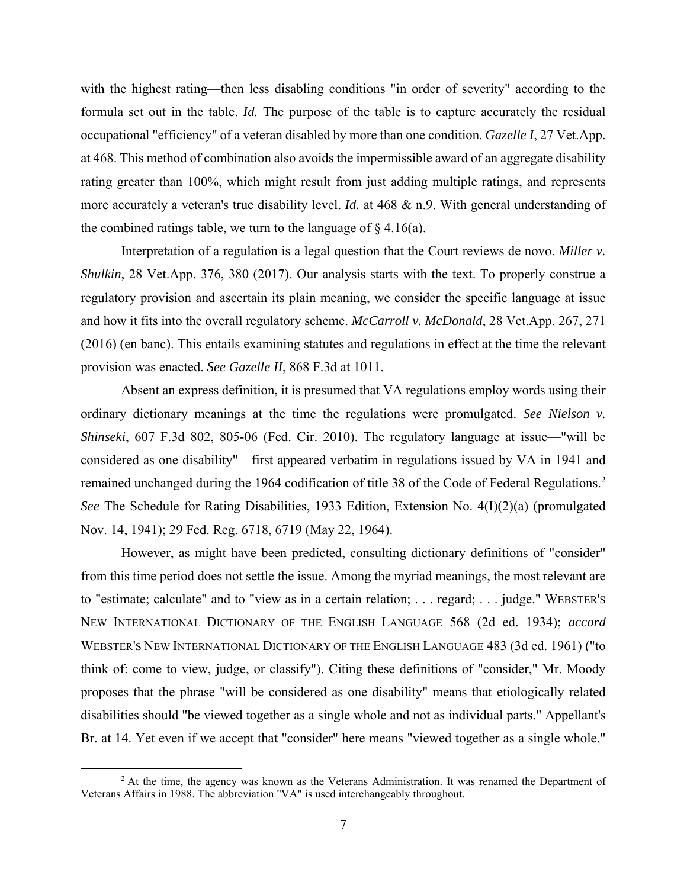with the highest rating—then less disabling conditions "in order of severity" according to the formula set out in the table. *Id.* The purpose of the table is to capture accurately the residual occupational "efficiency" of a veteran disabled by more than one condition. *Gazelle I*, 27 Vet.App. at 468. This method of combination also avoids the impermissible award of an aggregate disability rating greater than 100%, which might result from just adding multiple ratings, and represents more accurately a veteran's true disability level. *Id.* at 468 & n.9. With general understanding of the combined ratings table, we turn to the language of  $\S$  4.16(a).

 Interpretation of a regulation is a legal question that the Court reviews de novo. *Miller v. Shulkin*, 28 Vet.App. 376, 380 (2017). Our analysis starts with the text. To properly construe a regulatory provision and ascertain its plain meaning, we consider the specific language at issue and how it fits into the overall regulatory scheme. *McCarroll v. McDonald*, 28 Vet.App. 267, 271 (2016) (en banc). This entails examining statutes and regulations in effect at the time the relevant provision was enacted. *See Gazelle II*, 868 F.3d at 1011.

 Absent an express definition, it is presumed that VA regulations employ words using their ordinary dictionary meanings at the time the regulations were promulgated. *See Nielson v. Shinseki*, 607 F.3d 802, 805-06 (Fed. Cir. 2010). The regulatory language at issue—"will be considered as one disability"—first appeared verbatim in regulations issued by VA in 1941 and remained unchanged during the 1964 codification of title 38 of the Code of Federal Regulations.<sup>2</sup> *See* The Schedule for Rating Disabilities, 1933 Edition, Extension No. 4(I)(2)(a) (promulgated Nov. 14, 1941); 29 Fed. Reg. 6718, 6719 (May 22, 1964).

However, as might have been predicted, consulting dictionary definitions of "consider" from this time period does not settle the issue. Among the myriad meanings, the most relevant are to "estimate; calculate" and to "view as in a certain relation; . . . regard; . . . judge." WEBSTER'S NEW INTERNATIONAL DICTIONARY OF THE ENGLISH LANGUAGE 568 (2d ed. 1934); *accord* WEBSTER'S NEW INTERNATIONAL DICTIONARY OF THE ENGLISH LANGUAGE 483 (3d ed. 1961) ("to think of: come to view, judge, or classify"). Citing these definitions of "consider," Mr. Moody proposes that the phrase "will be considered as one disability" means that etiologically related disabilities should "be viewed together as a single whole and not as individual parts." Appellant's Br. at 14. Yet even if we accept that "consider" here means "viewed together as a single whole,"

 $\overline{\phantom{a}}$ <sup>2</sup> At the time, the agency was known as the Veterans Administration. It was renamed the Department of Veterans Affairs in 1988. The abbreviation "VA" is used interchangeably throughout.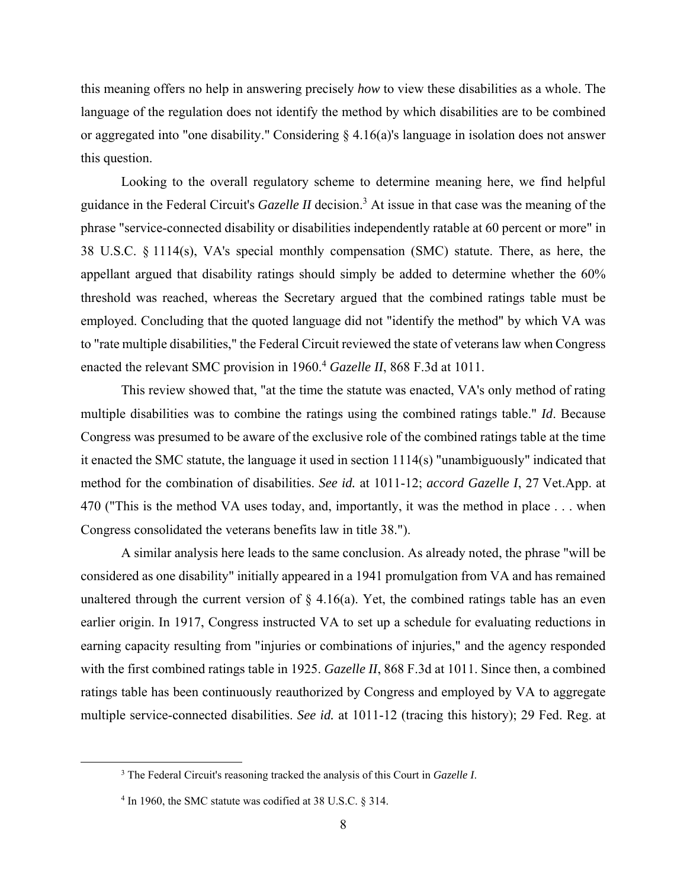this meaning offers no help in answering precisely *how* to view these disabilities as a whole. The language of the regulation does not identify the method by which disabilities are to be combined or aggregated into "one disability." Considering § 4.16(a)'s language in isolation does not answer this question.

 Looking to the overall regulatory scheme to determine meaning here, we find helpful guidance in the Federal Circuit's *Gazelle II* decision.3 At issue in that case was the meaning of the phrase "service-connected disability or disabilities independently ratable at 60 percent or more" in 38 U.S.C. § 1114(s), VA's special monthly compensation (SMC) statute. There, as here, the appellant argued that disability ratings should simply be added to determine whether the 60% threshold was reached, whereas the Secretary argued that the combined ratings table must be employed. Concluding that the quoted language did not "identify the method" by which VA was to "rate multiple disabilities," the Federal Circuit reviewed the state of veterans law when Congress enacted the relevant SMC provision in 1960.<sup>4</sup> Gazelle II, 868 F.3d at 1011.

This review showed that, "at the time the statute was enacted, VA's only method of rating multiple disabilities was to combine the ratings using the combined ratings table." *Id*. Because Congress was presumed to be aware of the exclusive role of the combined ratings table at the time it enacted the SMC statute, the language it used in section 1114(s) "unambiguously" indicated that method for the combination of disabilities. *See id.* at 1011-12; *accord Gazelle I*, 27 Vet.App. at 470 ("This is the method VA uses today, and, importantly, it was the method in place . . . when Congress consolidated the veterans benefits law in title 38.").

 A similar analysis here leads to the same conclusion. As already noted, the phrase "will be considered as one disability" initially appeared in a 1941 promulgation from VA and has remained unaltered through the current version of  $\S$  4.16(a). Yet, the combined ratings table has an even earlier origin. In 1917, Congress instructed VA to set up a schedule for evaluating reductions in earning capacity resulting from "injuries or combinations of injuries," and the agency responded with the first combined ratings table in 1925. *Gazelle II*, 868 F.3d at 1011. Since then, a combined ratings table has been continuously reauthorized by Congress and employed by VA to aggregate multiple service-connected disabilities. *See id.* at 1011-12 (tracing this history); 29 Fed. Reg. at

 <sup>3</sup> The Federal Circuit's reasoning tracked the analysis of this Court in *Gazelle I*.

<sup>&</sup>lt;sup>4</sup> In 1960, the SMC statute was codified at 38 U.S.C. § 314.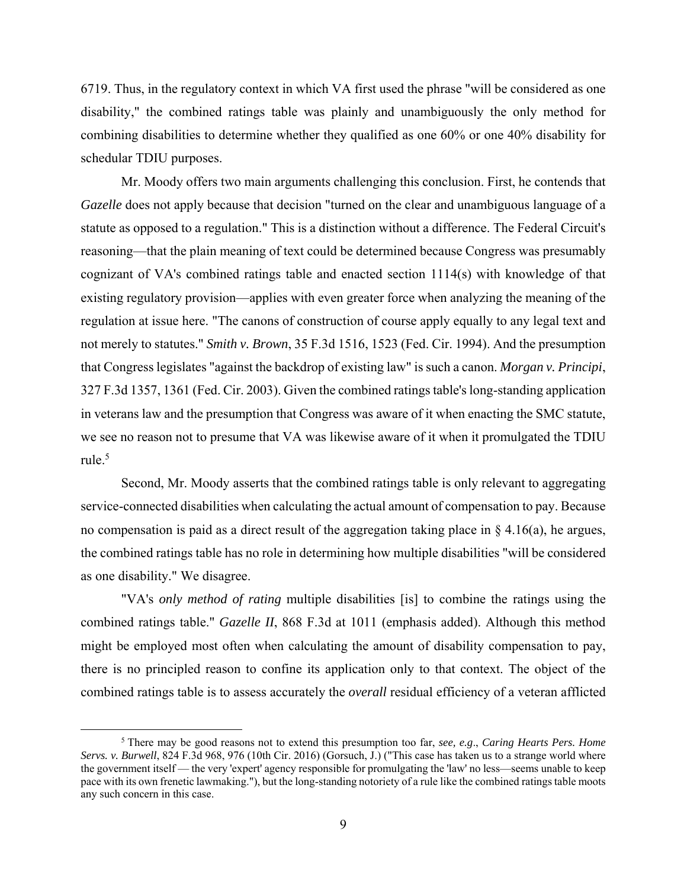6719. Thus, in the regulatory context in which VA first used the phrase "will be considered as one disability," the combined ratings table was plainly and unambiguously the only method for combining disabilities to determine whether they qualified as one 60% or one 40% disability for schedular TDIU purposes.

 Mr. Moody offers two main arguments challenging this conclusion. First, he contends that *Gazelle* does not apply because that decision "turned on the clear and unambiguous language of a statute as opposed to a regulation." This is a distinction without a difference. The Federal Circuit's reasoning—that the plain meaning of text could be determined because Congress was presumably cognizant of VA's combined ratings table and enacted section 1114(s) with knowledge of that existing regulatory provision—applies with even greater force when analyzing the meaning of the regulation at issue here. "The canons of construction of course apply equally to any legal text and not merely to statutes." *Smith v. Brown*, 35 F.3d 1516, 1523 (Fed. Cir. 1994). And the presumption that Congress legislates "against the backdrop of existing law" is such a canon. *Morgan v. Principi*, 327 F.3d 1357, 1361 (Fed. Cir. 2003). Given the combined ratings table's long-standing application in veterans law and the presumption that Congress was aware of it when enacting the SMC statute, we see no reason not to presume that VA was likewise aware of it when it promulgated the TDIU rule. $5$ 

 Second, Mr. Moody asserts that the combined ratings table is only relevant to aggregating service-connected disabilities when calculating the actual amount of compensation to pay. Because no compensation is paid as a direct result of the aggregation taking place in § 4.16(a), he argues, the combined ratings table has no role in determining how multiple disabilities "will be considered as one disability." We disagree.

 "VA's *only method of rating* multiple disabilities [is] to combine the ratings using the combined ratings table." *Gazelle II*, 868 F.3d at 1011 (emphasis added). Although this method might be employed most often when calculating the amount of disability compensation to pay, there is no principled reason to confine its application only to that context. The object of the combined ratings table is to assess accurately the *overall* residual efficiency of a veteran afflicted

 $rac{1}{5}$  There may be good reasons not to extend this presumption too far, *see, e.g*., *Caring Hearts Pers. Home Servs. v. Burwell*, 824 F.3d 968, 976 (10th Cir. 2016) (Gorsuch, J.) ("This case has taken us to a strange world where the government itself — the very 'expert' agency responsible for promulgating the 'law' no less—seems unable to keep pace with its own frenetic lawmaking."), but the long-standing notoriety of a rule like the combined ratings table moots any such concern in this case.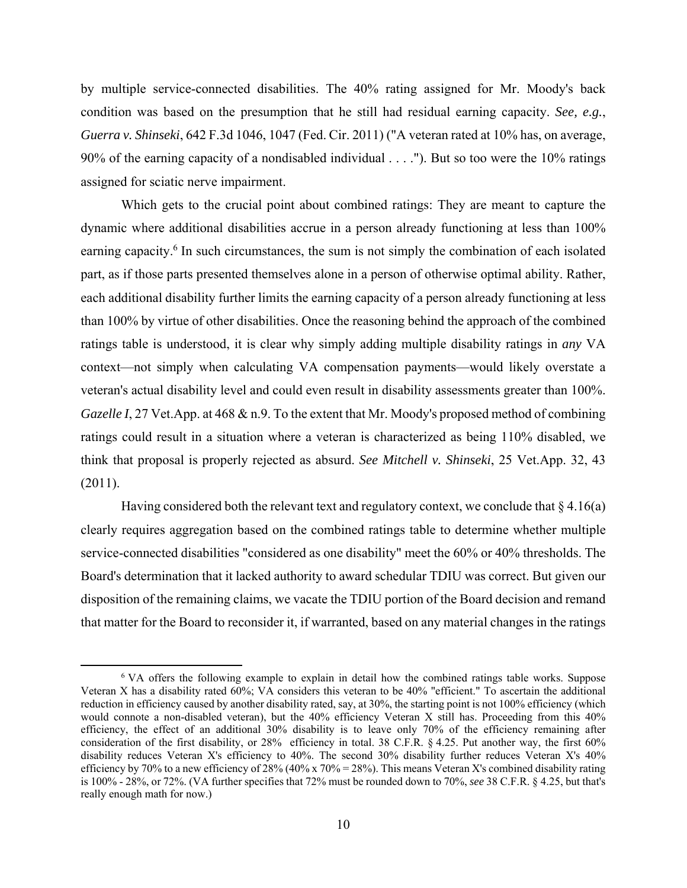by multiple service-connected disabilities. The 40% rating assigned for Mr. Moody's back condition was based on the presumption that he still had residual earning capacity. *See, e.g.*, *Guerra v. Shinseki*, 642 F.3d 1046, 1047 (Fed. Cir. 2011) ("A veteran rated at 10% has, on average, 90% of the earning capacity of a nondisabled individual . . . ."). But so too were the 10% ratings assigned for sciatic nerve impairment.

 Which gets to the crucial point about combined ratings: They are meant to capture the dynamic where additional disabilities accrue in a person already functioning at less than 100% earning capacity.<sup>6</sup> In such circumstances, the sum is not simply the combination of each isolated part, as if those parts presented themselves alone in a person of otherwise optimal ability. Rather, each additional disability further limits the earning capacity of a person already functioning at less than 100% by virtue of other disabilities. Once the reasoning behind the approach of the combined ratings table is understood, it is clear why simply adding multiple disability ratings in *any* VA context—not simply when calculating VA compensation payments—would likely overstate a veteran's actual disability level and could even result in disability assessments greater than 100%. *Gazelle I*, 27 Vet.App. at 468 & n.9. To the extent that Mr. Moody's proposed method of combining ratings could result in a situation where a veteran is characterized as being 110% disabled, we think that proposal is properly rejected as absurd. *See Mitchell v. Shinseki*, 25 Vet.App. 32, 43 (2011).

Having considered both the relevant text and regulatory context, we conclude that  $\S 4.16(a)$ clearly requires aggregation based on the combined ratings table to determine whether multiple service-connected disabilities "considered as one disability" meet the 60% or 40% thresholds. The Board's determination that it lacked authority to award schedular TDIU was correct. But given our disposition of the remaining claims, we vacate the TDIU portion of the Board decision and remand that matter for the Board to reconsider it, if warranted, based on any material changes in the ratings

<sup>&</sup>lt;sup>6</sup> VA offers the following example to explain in detail how the combined ratings table works. Suppose Veteran X has a disability rated 60%; VA considers this veteran to be 40% "efficient." To ascertain the additional reduction in efficiency caused by another disability rated, say, at 30%, the starting point is not 100% efficiency (which would connote a non-disabled veteran), but the 40% efficiency Veteran X still has. Proceeding from this 40% efficiency, the effect of an additional 30% disability is to leave only 70% of the efficiency remaining after consideration of the first disability, or 28% efficiency in total. 38 C.F.R. § 4.25. Put another way, the first 60% disability reduces Veteran X's efficiency to 40%. The second 30% disability further reduces Veteran X's 40% efficiency by 70% to a new efficiency of 28% (40% x 70% = 28%). This means Veteran X's combined disability rating is 100% - 28%, or 72%. (VA further specifies that 72% must be rounded down to 70%, *see* 38 C.F.R. § 4.25, but that's really enough math for now.)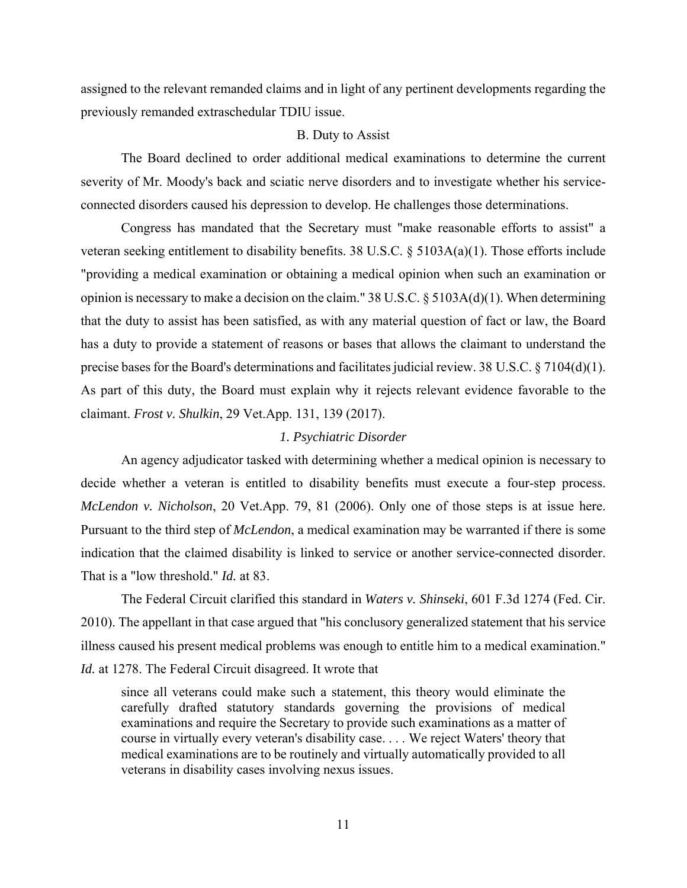assigned to the relevant remanded claims and in light of any pertinent developments regarding the previously remanded extraschedular TDIU issue.

#### B. Duty to Assist

 The Board declined to order additional medical examinations to determine the current severity of Mr. Moody's back and sciatic nerve disorders and to investigate whether his serviceconnected disorders caused his depression to develop. He challenges those determinations.

 Congress has mandated that the Secretary must "make reasonable efforts to assist" a veteran seeking entitlement to disability benefits. 38 U.S.C. § 5103A(a)(1). Those efforts include "providing a medical examination or obtaining a medical opinion when such an examination or opinion is necessary to make a decision on the claim." 38 U.S.C. § 5103A(d)(1). When determining that the duty to assist has been satisfied, as with any material question of fact or law, the Board has a duty to provide a statement of reasons or bases that allows the claimant to understand the precise bases for the Board's determinations and facilitates judicial review. 38 U.S.C. § 7104(d)(1). As part of this duty, the Board must explain why it rejects relevant evidence favorable to the claimant. *Frost v. Shulkin*, 29 Vet.App. 131, 139 (2017).

# *1. Psychiatric Disorder*

 An agency adjudicator tasked with determining whether a medical opinion is necessary to decide whether a veteran is entitled to disability benefits must execute a four-step process. *McLendon v. Nicholson*, 20 Vet.App. 79, 81 (2006). Only one of those steps is at issue here. Pursuant to the third step of *McLendon*, a medical examination may be warranted if there is some indication that the claimed disability is linked to service or another service-connected disorder. That is a "low threshold." *Id.* at 83.

 The Federal Circuit clarified this standard in *Waters v. Shinseki*, 601 F.3d 1274 (Fed. Cir. 2010). The appellant in that case argued that "his conclusory generalized statement that his service illness caused his present medical problems was enough to entitle him to a medical examination." *Id.* at 1278. The Federal Circuit disagreed. It wrote that

since all veterans could make such a statement, this theory would eliminate the carefully drafted statutory standards governing the provisions of medical examinations and require the Secretary to provide such examinations as a matter of course in virtually every veteran's disability case. . . . We reject Waters' theory that medical examinations are to be routinely and virtually automatically provided to all veterans in disability cases involving nexus issues.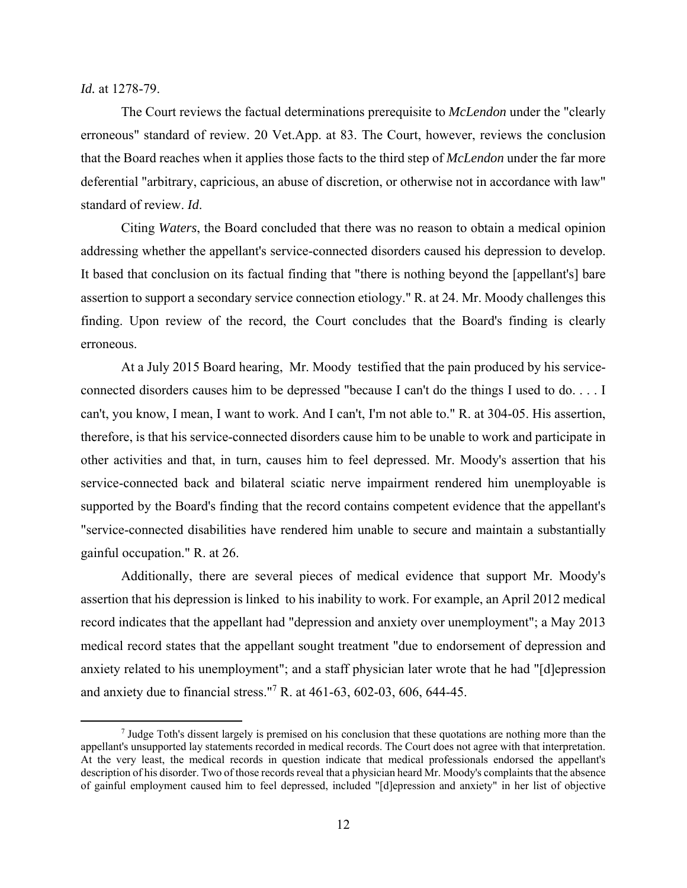*Id.* at 1278-79.

 The Court reviews the factual determinations prerequisite to *McLendon* under the "clearly erroneous" standard of review. 20 Vet.App. at 83. The Court, however, reviews the conclusion that the Board reaches when it applies those facts to the third step of *McLendon* under the far more deferential "arbitrary, capricious, an abuse of discretion, or otherwise not in accordance with law" standard of review. *Id*.

 Citing *Waters*, the Board concluded that there was no reason to obtain a medical opinion addressing whether the appellant's service-connected disorders caused his depression to develop. It based that conclusion on its factual finding that "there is nothing beyond the [appellant's] bare assertion to support a secondary service connection etiology." R. at 24. Mr. Moody challenges this finding. Upon review of the record, the Court concludes that the Board's finding is clearly erroneous.

 At a July 2015 Board hearing, Mr. Moody testified that the pain produced by his serviceconnected disorders causes him to be depressed "because I can't do the things I used to do. . . . I can't, you know, I mean, I want to work. And I can't, I'm not able to." R. at 304-05. His assertion, therefore, is that his service-connected disorders cause him to be unable to work and participate in other activities and that, in turn, causes him to feel depressed. Mr. Moody's assertion that his service-connected back and bilateral sciatic nerve impairment rendered him unemployable is supported by the Board's finding that the record contains competent evidence that the appellant's "service-connected disabilities have rendered him unable to secure and maintain a substantially gainful occupation." R. at 26.

 Additionally, there are several pieces of medical evidence that support Mr. Moody's assertion that his depression is linked to his inability to work. For example, an April 2012 medical record indicates that the appellant had "depression and anxiety over unemployment"; a May 2013 medical record states that the appellant sought treatment "due to endorsement of depression and anxiety related to his unemployment"; and a staff physician later wrote that he had "[d]epression and anxiety due to financial stress."7 R. at 461-63, 602-03, 606, 644-45.

 $\frac{1}{7}$  $\frac{7}{1}$  Judge Toth's dissent largely is premised on his conclusion that these quotations are nothing more than the appellant's unsupported lay statements recorded in medical records. The Court does not agree with that interpretation. At the very least, the medical records in question indicate that medical professionals endorsed the appellant's description of his disorder. Two of those records reveal that a physician heard Mr. Moody's complaints that the absence of gainful employment caused him to feel depressed, included "[d]epression and anxiety" in her list of objective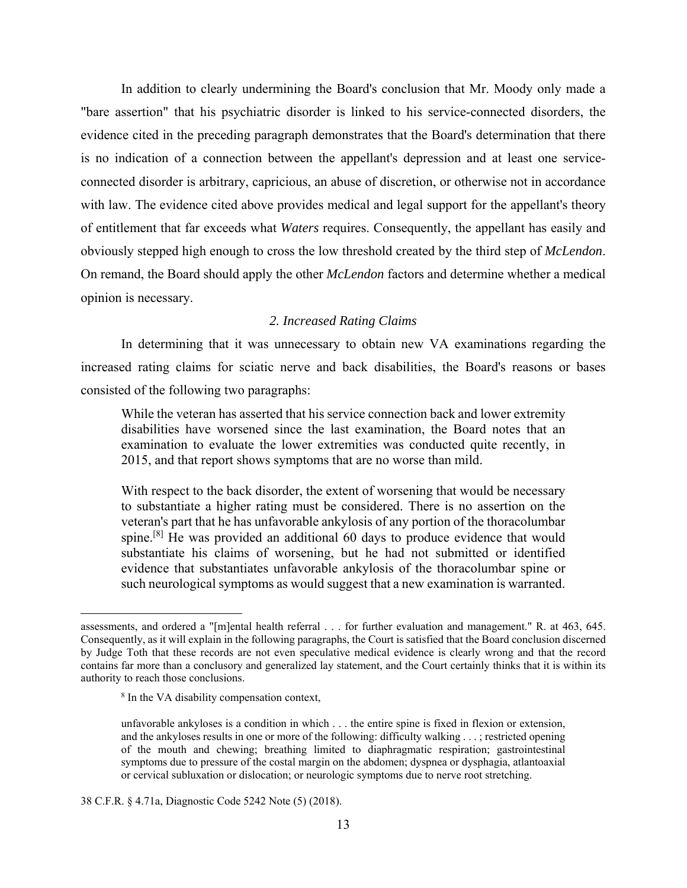In addition to clearly undermining the Board's conclusion that Mr. Moody only made a "bare assertion" that his psychiatric disorder is linked to his service-connected disorders, the evidence cited in the preceding paragraph demonstrates that the Board's determination that there is no indication of a connection between the appellant's depression and at least one serviceconnected disorder is arbitrary, capricious, an abuse of discretion, or otherwise not in accordance with law. The evidence cited above provides medical and legal support for the appellant's theory of entitlement that far exceeds what *Waters* requires. Consequently, the appellant has easily and obviously stepped high enough to cross the low threshold created by the third step of *McLendon*. On remand, the Board should apply the other *McLendon* factors and determine whether a medical opinion is necessary.

# *2. Increased Rating Claims*

 In determining that it was unnecessary to obtain new VA examinations regarding the increased rating claims for sciatic nerve and back disabilities, the Board's reasons or bases consisted of the following two paragraphs:

While the veteran has asserted that his service connection back and lower extremity disabilities have worsened since the last examination, the Board notes that an examination to evaluate the lower extremities was conducted quite recently, in 2015, and that report shows symptoms that are no worse than mild.

With respect to the back disorder, the extent of worsening that would be necessary to substantiate a higher rating must be considered. There is no assertion on the veteran's part that he has unfavorable ankylosis of any portion of the thoracolumbar spine.<sup>[8]</sup> He was provided an additional 60 days to produce evidence that would substantiate his claims of worsening, but he had not submitted or identified evidence that substantiates unfavorable ankylosis of the thoracolumbar spine or such neurological symptoms as would suggest that a new examination is warranted.

 $\overline{a}$ 

assessments, and ordered a "[m]ental health referral . . . for further evaluation and management." R. at 463, 645. Consequently, as it will explain in the following paragraphs, the Court is satisfied that the Board conclusion discerned by Judge Toth that these records are not even speculative medical evidence is clearly wrong and that the record contains far more than a conclusory and generalized lay statement, and the Court certainly thinks that it is within its authority to reach those conclusions.

<sup>8</sup> In the VA disability compensation context,

unfavorable ankyloses is a condition in which . . . the entire spine is fixed in flexion or extension, and the ankyloses results in one or more of the following: difficulty walking . . . ; restricted opening of the mouth and chewing; breathing limited to diaphragmatic respiration; gastrointestinal symptoms due to pressure of the costal margin on the abdomen; dyspnea or dysphagia, atlantoaxial or cervical subluxation or dislocation; or neurologic symptoms due to nerve root stretching.

<sup>38</sup> C.F.R. § 4.71a, Diagnostic Code 5242 Note (5) (2018).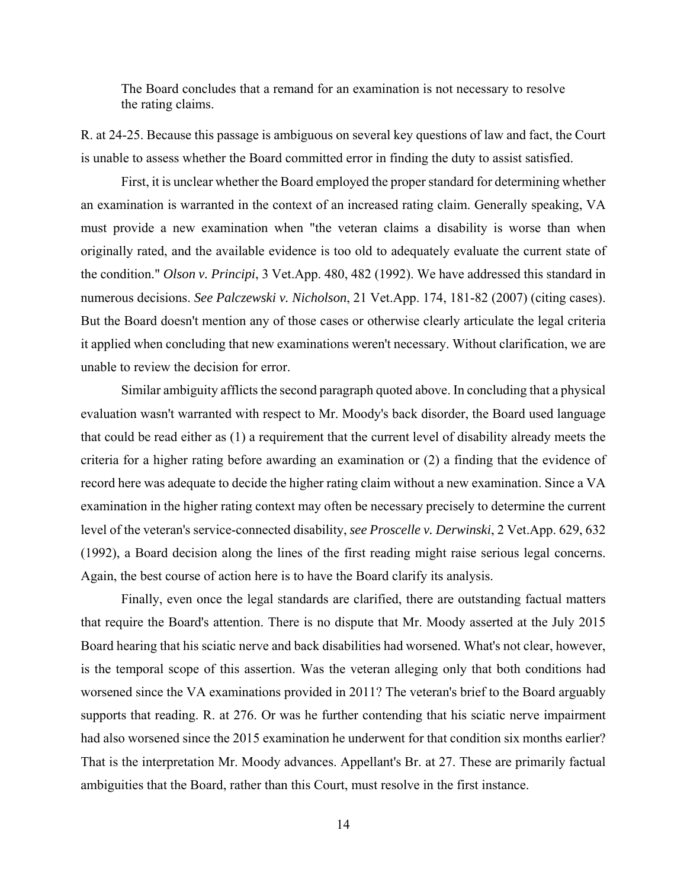The Board concludes that a remand for an examination is not necessary to resolve the rating claims.

R. at 24-25. Because this passage is ambiguous on several key questions of law and fact, the Court is unable to assess whether the Board committed error in finding the duty to assist satisfied.

 First, it is unclear whether the Board employed the proper standard for determining whether an examination is warranted in the context of an increased rating claim. Generally speaking, VA must provide a new examination when "the veteran claims a disability is worse than when originally rated, and the available evidence is too old to adequately evaluate the current state of the condition." *Olson v. Principi*, 3 Vet.App. 480, 482 (1992). We have addressed this standard in numerous decisions. *See Palczewski v. Nicholson*, 21 Vet.App. 174, 181-82 (2007) (citing cases). But the Board doesn't mention any of those cases or otherwise clearly articulate the legal criteria it applied when concluding that new examinations weren't necessary. Without clarification, we are unable to review the decision for error.

 Similar ambiguity afflicts the second paragraph quoted above. In concluding that a physical evaluation wasn't warranted with respect to Mr. Moody's back disorder, the Board used language that could be read either as (1) a requirement that the current level of disability already meets the criteria for a higher rating before awarding an examination or (2) a finding that the evidence of record here was adequate to decide the higher rating claim without a new examination. Since a VA examination in the higher rating context may often be necessary precisely to determine the current level of the veteran's service-connected disability, *see Proscelle v. Derwinski*, 2 Vet.App. 629, 632 (1992), a Board decision along the lines of the first reading might raise serious legal concerns. Again, the best course of action here is to have the Board clarify its analysis.

 Finally, even once the legal standards are clarified, there are outstanding factual matters that require the Board's attention. There is no dispute that Mr. Moody asserted at the July 2015 Board hearing that his sciatic nerve and back disabilities had worsened. What's not clear, however, is the temporal scope of this assertion. Was the veteran alleging only that both conditions had worsened since the VA examinations provided in 2011? The veteran's brief to the Board arguably supports that reading. R. at 276. Or was he further contending that his sciatic nerve impairment had also worsened since the 2015 examination he underwent for that condition six months earlier? That is the interpretation Mr. Moody advances. Appellant's Br. at 27. These are primarily factual ambiguities that the Board, rather than this Court, must resolve in the first instance.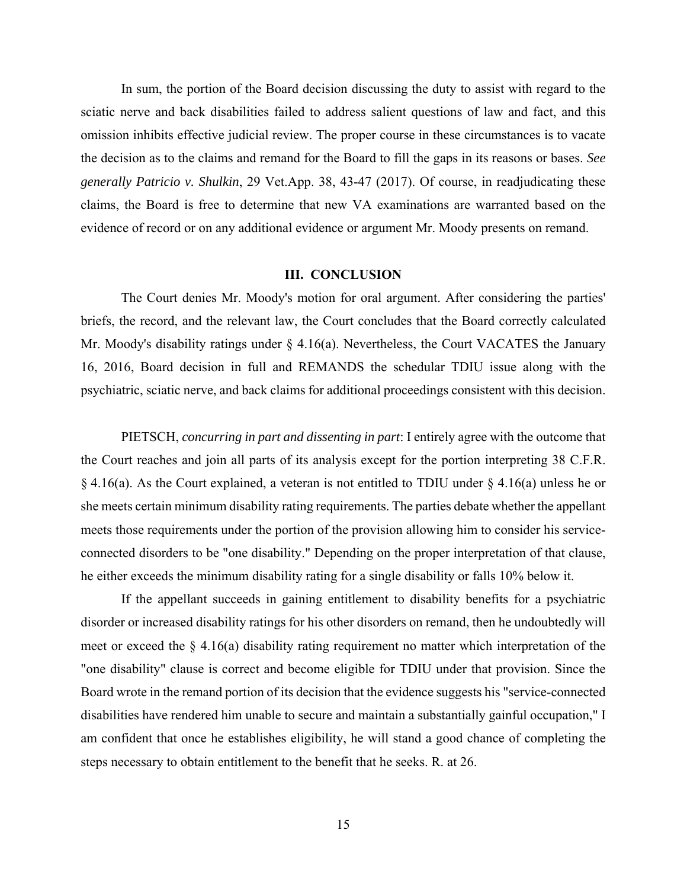In sum, the portion of the Board decision discussing the duty to assist with regard to the sciatic nerve and back disabilities failed to address salient questions of law and fact, and this omission inhibits effective judicial review. The proper course in these circumstances is to vacate the decision as to the claims and remand for the Board to fill the gaps in its reasons or bases. *See generally Patricio v. Shulkin*, 29 Vet.App. 38, 43-47 (2017). Of course, in readjudicating these claims, the Board is free to determine that new VA examinations are warranted based on the evidence of record or on any additional evidence or argument Mr. Moody presents on remand.

#### **III. CONCLUSION**

The Court denies Mr. Moody's motion for oral argument. After considering the parties' briefs, the record, and the relevant law, the Court concludes that the Board correctly calculated Mr. Moody's disability ratings under § 4.16(a). Nevertheless, the Court VACATES the January 16, 2016, Board decision in full and REMANDS the schedular TDIU issue along with the psychiatric, sciatic nerve, and back claims for additional proceedings consistent with this decision.

PIETSCH, *concurring in part and dissenting in part*: I entirely agree with the outcome that the Court reaches and join all parts of its analysis except for the portion interpreting 38 C.F.R. § 4.16(a). As the Court explained, a veteran is not entitled to TDIU under § 4.16(a) unless he or she meets certain minimum disability rating requirements. The parties debate whether the appellant meets those requirements under the portion of the provision allowing him to consider his serviceconnected disorders to be "one disability." Depending on the proper interpretation of that clause, he either exceeds the minimum disability rating for a single disability or falls 10% below it.

 If the appellant succeeds in gaining entitlement to disability benefits for a psychiatric disorder or increased disability ratings for his other disorders on remand, then he undoubtedly will meet or exceed the § 4.16(a) disability rating requirement no matter which interpretation of the "one disability" clause is correct and become eligible for TDIU under that provision. Since the Board wrote in the remand portion of its decision that the evidence suggests his "service-connected disabilities have rendered him unable to secure and maintain a substantially gainful occupation," I am confident that once he establishes eligibility, he will stand a good chance of completing the steps necessary to obtain entitlement to the benefit that he seeks. R. at 26.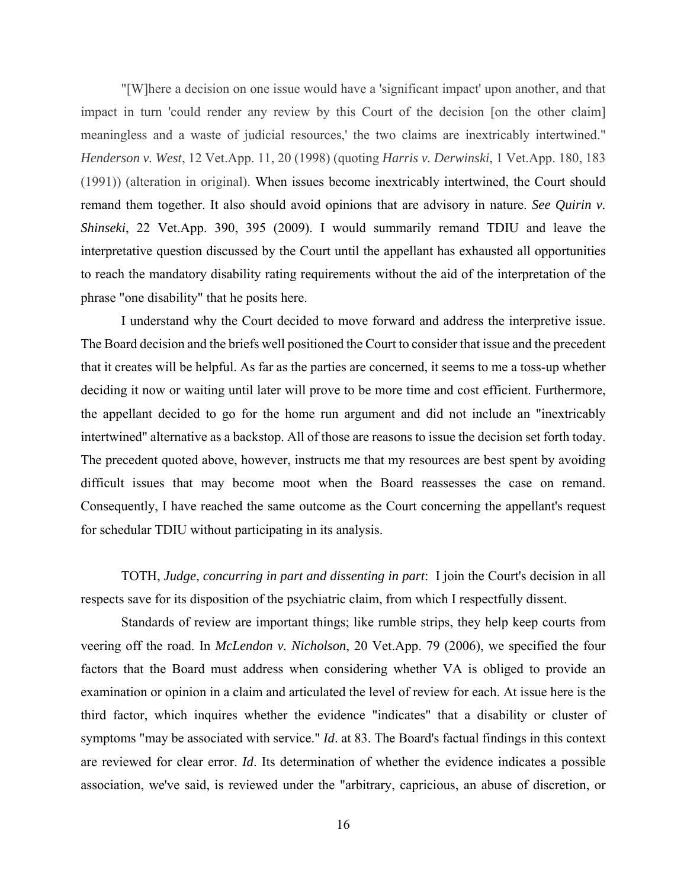"[W]here a decision on one issue would have a 'significant impact' upon another, and that impact in turn 'could render any review by this Court of the decision [on the other claim] meaningless and a waste of judicial resources,' the two claims are inextricably intertwined." *Henderson v. West*, 12 Vet.App. 11, 20 (1998) (quoting *Harris v. Derwinski*, 1 Vet.App. 180, 183 (1991)) (alteration in original). When issues become inextricably intertwined, the Court should remand them together. It also should avoid opinions that are advisory in nature. *See Quirin v. Shinseki*, 22 Vet.App. 390, 395 (2009). I would summarily remand TDIU and leave the interpretative question discussed by the Court until the appellant has exhausted all opportunities to reach the mandatory disability rating requirements without the aid of the interpretation of the phrase "one disability" that he posits here.

 I understand why the Court decided to move forward and address the interpretive issue. The Board decision and the briefs well positioned the Court to consider that issue and the precedent that it creates will be helpful. As far as the parties are concerned, it seems to me a toss-up whether deciding it now or waiting until later will prove to be more time and cost efficient. Furthermore, the appellant decided to go for the home run argument and did not include an "inextricably intertwined" alternative as a backstop. All of those are reasons to issue the decision set forth today. The precedent quoted above, however, instructs me that my resources are best spent by avoiding difficult issues that may become moot when the Board reassesses the case on remand. Consequently, I have reached the same outcome as the Court concerning the appellant's request for schedular TDIU without participating in its analysis.

 TOTH, *Judge*, *concurring in part and dissenting in part*: I join the Court's decision in all respects save for its disposition of the psychiatric claim, from which I respectfully dissent.

 Standards of review are important things; like rumble strips, they help keep courts from veering off the road. In *McLendon v. Nicholson*, 20 Vet.App. 79 (2006), we specified the four factors that the Board must address when considering whether VA is obliged to provide an examination or opinion in a claim and articulated the level of review for each. At issue here is the third factor, which inquires whether the evidence "indicates" that a disability or cluster of symptoms "may be associated with service." *Id*. at 83. The Board's factual findings in this context are reviewed for clear error. *Id*. Its determination of whether the evidence indicates a possible association, we've said, is reviewed under the "arbitrary, capricious, an abuse of discretion, or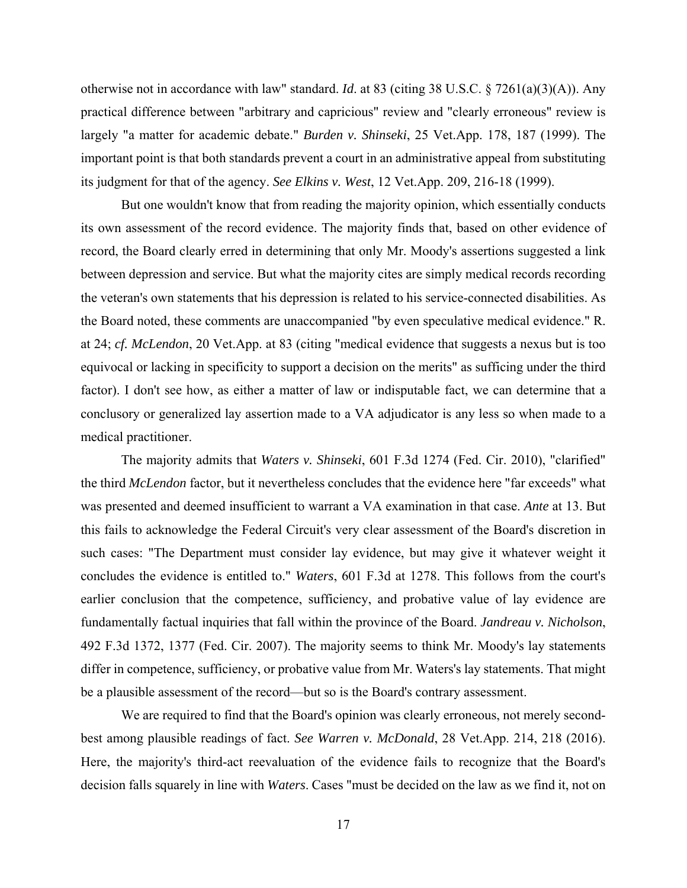otherwise not in accordance with law" standard. *Id*. at 83 (citing 38 U.S.C. § 7261(a)(3)(A)). Any practical difference between "arbitrary and capricious" review and "clearly erroneous" review is largely "a matter for academic debate." *Burden v. Shinseki*, 25 Vet.App. 178, 187 (1999). The important point is that both standards prevent a court in an administrative appeal from substituting its judgment for that of the agency. *See Elkins v. West*, 12 Vet.App. 209, 216-18 (1999).

 But one wouldn't know that from reading the majority opinion, which essentially conducts its own assessment of the record evidence. The majority finds that, based on other evidence of record, the Board clearly erred in determining that only Mr. Moody's assertions suggested a link between depression and service. But what the majority cites are simply medical records recording the veteran's own statements that his depression is related to his service-connected disabilities. As the Board noted, these comments are unaccompanied "by even speculative medical evidence." R. at 24; *cf. McLendon*, 20 Vet.App. at 83 (citing "medical evidence that suggests a nexus but is too equivocal or lacking in specificity to support a decision on the merits" as sufficing under the third factor). I don't see how, as either a matter of law or indisputable fact, we can determine that a conclusory or generalized lay assertion made to a VA adjudicator is any less so when made to a medical practitioner.

 The majority admits that *Waters v. Shinseki*, 601 F.3d 1274 (Fed. Cir. 2010), "clarified" the third *McLendon* factor, but it nevertheless concludes that the evidence here "far exceeds" what was presented and deemed insufficient to warrant a VA examination in that case. *Ante* at 13. But this fails to acknowledge the Federal Circuit's very clear assessment of the Board's discretion in such cases: "The Department must consider lay evidence, but may give it whatever weight it concludes the evidence is entitled to." *Waters*, 601 F.3d at 1278. This follows from the court's earlier conclusion that the competence, sufficiency, and probative value of lay evidence are fundamentally factual inquiries that fall within the province of the Board. *Jandreau v. Nicholson*, 492 F.3d 1372, 1377 (Fed. Cir. 2007). The majority seems to think Mr. Moody's lay statements differ in competence, sufficiency, or probative value from Mr. Waters's lay statements. That might be a plausible assessment of the record—but so is the Board's contrary assessment.

 We are required to find that the Board's opinion was clearly erroneous, not merely secondbest among plausible readings of fact. *See Warren v. McDonald*, 28 Vet.App. 214, 218 (2016). Here, the majority's third-act reevaluation of the evidence fails to recognize that the Board's decision falls squarely in line with *Waters*. Cases "must be decided on the law as we find it, not on